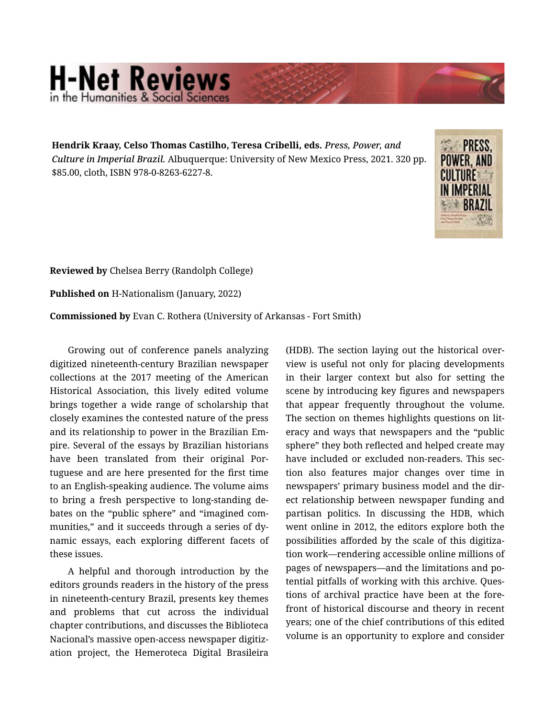## **H-Net Reviews** in the Humanities & Social Scienc

**Hendrik Kraay, Celso Thomas Castilho, Teresa Cribelli, eds.** *Press, Power, and Culture in Imperial Brazil.* Albuquerque: University of New Mexico Press, 2021. 320 pp. \$85.00, cloth, ISBN 978-0-8263-6227-8.



**Reviewed by** Chelsea Berry (Randolph College)

**Published on** H-Nationalism (January, 2022)

**Commissioned by** Evan C. Rothera (University of Arkansas - Fort Smith)

Growing out of conference panels analyzing digitized nineteenth-century Brazilian newspaper collections at the 2017 meeting of the American Historical Association, this lively edited volume brings together a wide range of scholarship that closely examines the contested nature of the press and its relationship to power in the Brazilian Em‐ pire. Several of the essays by Brazilian historians have been translated from their original Por‐ tuguese and are here presented for the first time to an English-speaking audience. The volume aims to bring a fresh perspective to long-standing de‐ bates on the "public sphere" and "imagined com‐ munities," and it succeeds through a series of dy‐ namic essays, each exploring different facets of these issues.

A helpful and thorough introduction by the editors grounds readers in the history of the press in nineteenth-century Brazil, presents key themes and problems that cut across the individual chapter contributions, and discusses the Biblioteca Nacional's massive open-access newspaper digitiz‐ ation project, the Hemeroteca Digital Brasileira

(HDB). The section laying out the historical over‐ view is useful not only for placing developments in their larger context but also for setting the scene by introducing key figures and newspapers that appear frequently throughout the volume. The section on themes highlights questions on lit‐ eracy and ways that newspapers and the "public sphere" they both reflected and helped create may have included or excluded non-readers. This section also features major changes over time in newspapers' primary business model and the dir‐ ect relationship between newspaper funding and partisan politics. In discussing the HDB, which went online in 2012, the editors explore both the possibilities afforded by the scale of this digitiza‐ tion work—rendering accessible online millions of pages of newspapers—and the limitations and po‐ tential pitfalls of working with this archive. Ques‐ tions of archival practice have been at the fore‐ front of historical discourse and theory in recent years; one of the chief contributions of this edited volume is an opportunity to explore and consider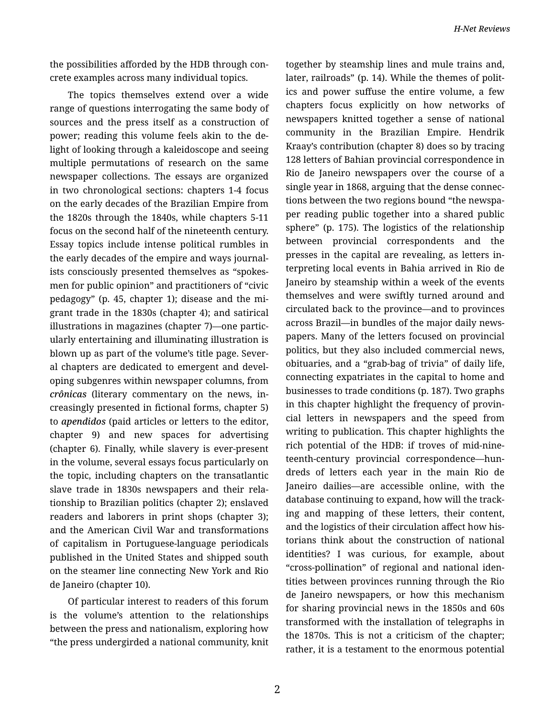the possibilities afforded by the HDB through con‐ crete examples across many individual topics.

The topics themselves extend over a wide range of questions interrogating the same body of sources and the press itself as a construction of power; reading this volume feels akin to the de‐ light of looking through a kaleidoscope and seeing multiple permutations of research on the same newspaper collections. The essays are organized in two chronological sections: chapters 1-4 focus on the early decades of the Brazilian Empire from the 1820s through the 1840s, while chapters 5-11 focus on the second half of the nineteenth century. Essay topics include intense political rumbles in the early decades of the empire and ways journal‐ ists consciously presented themselves as "spokes‐ men for public opinion" and practitioners of "civic pedagogy" (p. 45, chapter 1); disease and the mi‐ grant trade in the 1830s (chapter 4); and satirical illustrations in magazines (chapter 7)—one partic‐ ularly entertaining and illuminating illustration is blown up as part of the volume's title page. Sever‐ al chapters are dedicated to emergent and devel‐ oping subgenres within newspaper columns, from *crônicas* (literary commentary on the news, in‐ creasingly presented in fictional forms, chapter 5) to *apendidos* (paid articles or letters to the editor, chapter 9) and new spaces for advertising (chapter 6). Finally, while slavery is ever-present in the volume, several essays focus particularly on the topic, including chapters on the transatlantic slave trade in 1830s newspapers and their rela‐ tionship to Brazilian politics (chapter 2); enslaved readers and laborers in print shops (chapter 3); and the American Civil War and transformations of capitalism in Portuguese-language periodicals published in the United States and shipped south on the steamer line connecting New York and Rio de Janeiro (chapter 10).

Of particular interest to readers of this forum is the volume's attention to the relationships between the press and nationalism, exploring how "the press undergirded a national community, knit together by steamship lines and mule trains and, later, railroads" (p. 14). While the themes of polit‐ ics and power suffuse the entire volume, a few chapters focus explicitly on how networks of newspapers knitted together a sense of national community in the Brazilian Empire. Hendrik Kraay's contribution (chapter 8) does so by tracing 128 letters of Bahian provincial correspondence in Rio de Janeiro newspapers over the course of a single year in 1868, arguing that the dense connec‐ tions between the two regions bound "the newspa‐ per reading public together into a shared public sphere" (p. 175). The logistics of the relationship between provincial correspondents and the presses in the capital are revealing, as letters in‐ terpreting local events in Bahia arrived in Rio de Janeiro by steamship within a week of the events themselves and were swiftly turned around and circulated back to the province—and to provinces across Brazil—in bundles of the major daily news‐ papers. Many of the letters focused on provincial politics, but they also included commercial news, obituaries, and a "grab-bag of trivia" of daily life, connecting expatriates in the capital to home and businesses to trade conditions (p. 187). Two graphs in this chapter highlight the frequency of provin‐ cial letters in newspapers and the speed from writing to publication. This chapter highlights the rich potential of the HDB: if troves of mid-nine‐ teenth-century provincial correspondence—hun‐ dreds of letters each year in the main Rio de Janeiro dailies—are accessible online, with the database continuing to expand, how will the track‐ ing and mapping of these letters, their content, and the logistics of their circulation affect how his‐ torians think about the construction of national identities? I was curious, for example, about "cross-pollination" of regional and national iden‐ tities between provinces running through the Rio de Janeiro newspapers, or how this mechanism for sharing provincial news in the 1850s and 60s transformed with the installation of telegraphs in the 1870s. This is not a criticism of the chapter; rather, it is a testament to the enormous potential